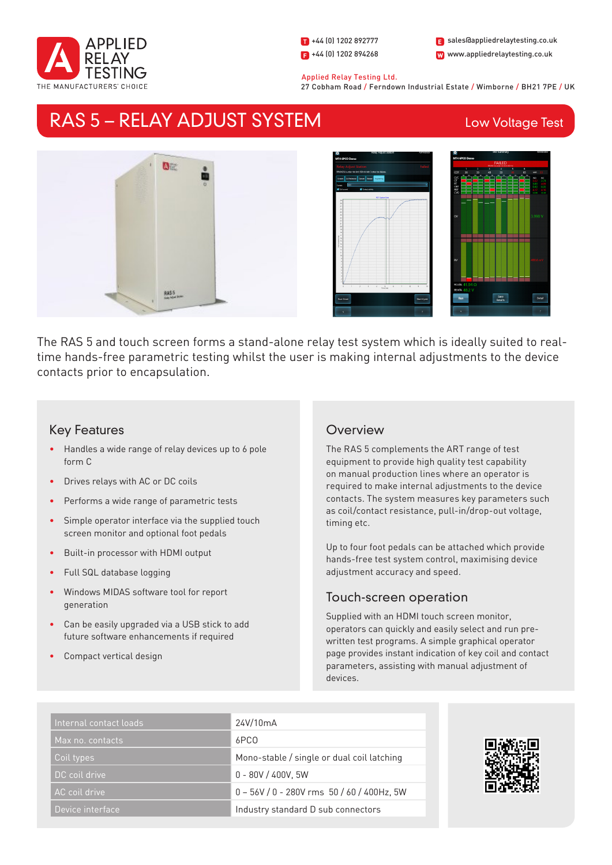

1 +44 (0) 1202 892777  $\Box$  +44 (0) 1202 894268 W www.appliedrelaytesting.co.uk sales@appliedrelaytesting.co.uk

### Applied Relay Testing Ltd.

27 Cobham Road / Ferndown Industrial Estate / Wimborne / BH21 7PE / UK

# RAS 5 – RELAY ADJUST SYSTEM

## Low Voltage Test





The RAS 5 and touch screen forms a stand-alone relay test system which is ideally suited to realtime hands-free parametric testing whilst the user is making internal adjustments to the device contacts prior to encapsulation.

## Key Features

- Handles a wide range of relay devices up to 6 pole form C
- Drives relays with AC or DC coils
- Performs a wide range of parametric tests
- Simple operator interface via the supplied touch screen monitor and optional foot pedals
- Built-in processor with HDMI output
- Full SQL database logging
- Windows MIDAS software tool for report generation
- Can be easily upgraded via a USB stick to add future software enhancements if required
- Compact vertical design

## **Overview**

The RAS 5 complements the ART range of test equipment to provide high quality test capability on manual production lines where an operator is required to make internal adjustments to the device contacts. The system measures key parameters such as coil/contact resistance, pull-in/drop-out voltage, timing etc.

Up to four foot pedals can be attached which provide hands-free test system control, maximising device adjustment accuracy and speed.

## Touch-screen operation

Supplied with an HDMI touch screen monitor, operators can quickly and easily select and run prewritten test programs. A simple graphical operator page provides instant indication of key coil and contact parameters, assisting with manual adjustment of devices.

| Internal contact loads | 24V/10mA                                        |
|------------------------|-------------------------------------------------|
| Max no. contacts       | 6PCO                                            |
| Coil types             | Mono-stable / single or dual coil latching      |
| DC coil drive          | $0 - 80V / 400V$ , 5W                           |
| AC coil drive          | $0 - 56V / 0 - 280V$ rms $50 / 60 / 400Hz$ , 5W |
| Device interface       | Industry standard D sub connectors              |